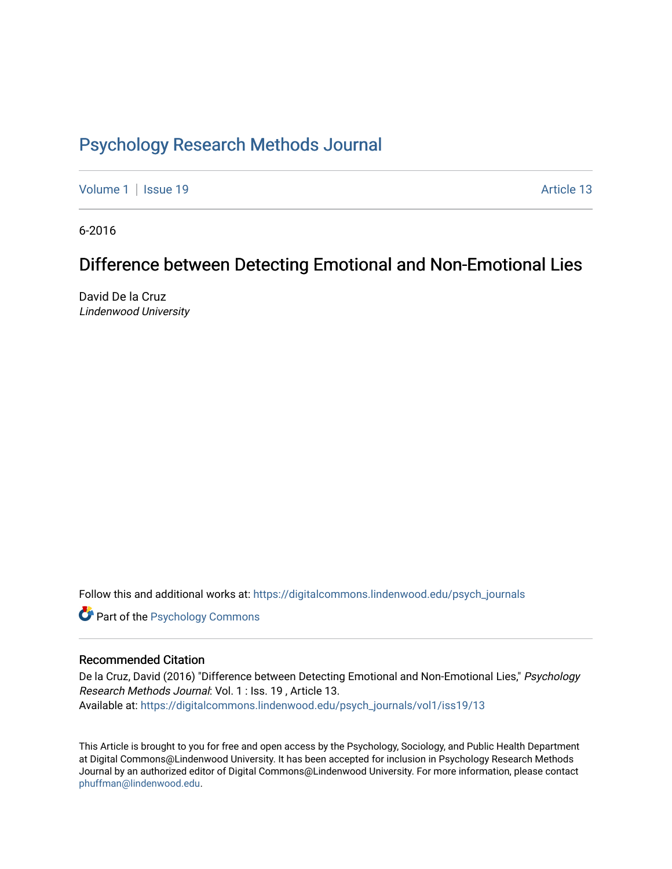# [Psychology Research Methods Journal](https://digitalcommons.lindenwood.edu/psych_journals)

[Volume 1](https://digitalcommons.lindenwood.edu/psych_journals/vol1) | [Issue 19](https://digitalcommons.lindenwood.edu/psych_journals/vol1/iss19) Article 13

6-2016

# Difference between Detecting Emotional and Non-Emotional Lies

David De la Cruz Lindenwood University

Follow this and additional works at: [https://digitalcommons.lindenwood.edu/psych\\_journals](https://digitalcommons.lindenwood.edu/psych_journals?utm_source=digitalcommons.lindenwood.edu%2Fpsych_journals%2Fvol1%2Fiss19%2F13&utm_medium=PDF&utm_campaign=PDFCoverPages) 

**Part of the Psychology Commons** 

#### Recommended Citation

De la Cruz, David (2016) "Difference between Detecting Emotional and Non-Emotional Lies," Psychology Research Methods Journal: Vol. 1 : Iss. 19 , Article 13. Available at: [https://digitalcommons.lindenwood.edu/psych\\_journals/vol1/iss19/13](https://digitalcommons.lindenwood.edu/psych_journals/vol1/iss19/13?utm_source=digitalcommons.lindenwood.edu%2Fpsych_journals%2Fvol1%2Fiss19%2F13&utm_medium=PDF&utm_campaign=PDFCoverPages)

This Article is brought to you for free and open access by the Psychology, Sociology, and Public Health Department at Digital Commons@Lindenwood University. It has been accepted for inclusion in Psychology Research Methods Journal by an authorized editor of Digital Commons@Lindenwood University. For more information, please contact [phuffman@lindenwood.edu](mailto:phuffman@lindenwood.edu).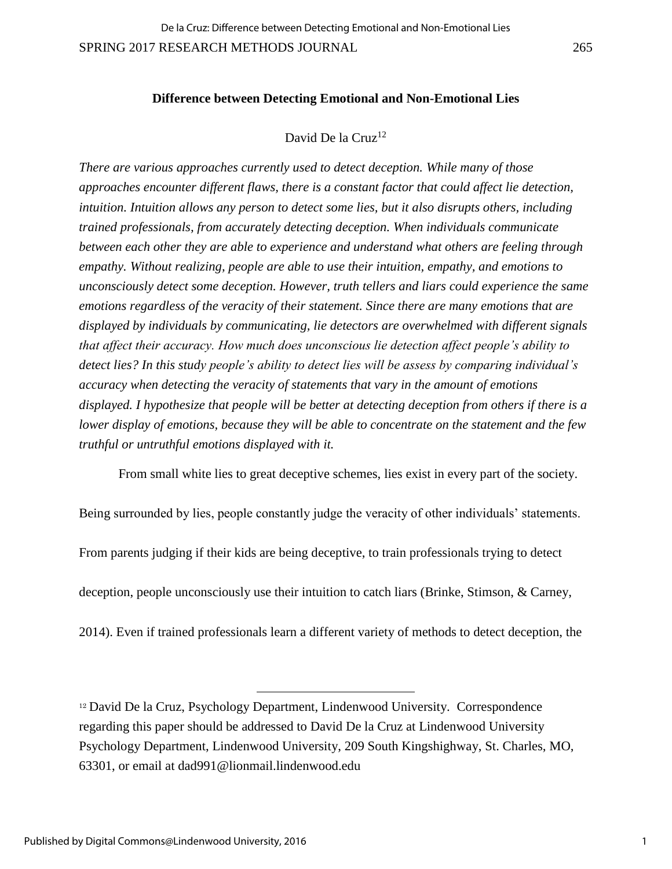#### **Difference between Detecting Emotional and Non-Emotional Lies**

## David De la Cruz<sup>12</sup>

*There are various approaches currently used to detect deception. While many of those approaches encounter different flaws, there is a constant factor that could affect lie detection, intuition. Intuition allows any person to detect some lies, but it also disrupts others, including trained professionals, from accurately detecting deception. When individuals communicate between each other they are able to experience and understand what others are feeling through empathy. Without realizing, people are able to use their intuition, empathy, and emotions to unconsciously detect some deception. However, truth tellers and liars could experience the same emotions regardless of the veracity of their statement. Since there are many emotions that are displayed by individuals by communicating, lie detectors are overwhelmed with different signals that affect their accuracy. How much does unconscious lie detection affect people's ability to detect lies? In this study people's ability to detect lies will be assess by comparing individual's accuracy when detecting the veracity of statements that vary in the amount of emotions displayed. I hypothesize that people will be better at detecting deception from others if there is a lower display of emotions, because they will be able to concentrate on the statement and the few truthful or untruthful emotions displayed with it.* 

From small white lies to great deceptive schemes, lies exist in every part of the society.

Being surrounded by lies, people constantly judge the veracity of other individuals' statements.

From parents judging if their kids are being deceptive, to train professionals trying to detect

deception, people unconsciously use their intuition to catch liars (Brinke, Stimson, & Carney,

2014). Even if trained professionals learn a different variety of methods to detect deception, the

l

<sup>12</sup> David De la Cruz, Psychology Department, Lindenwood University. Correspondence regarding this paper should be addressed to David De la Cruz at Lindenwood University Psychology Department, Lindenwood University, 209 South Kingshighway, St. Charles, MO, 63301, or email at dad991@lionmail.lindenwood.edu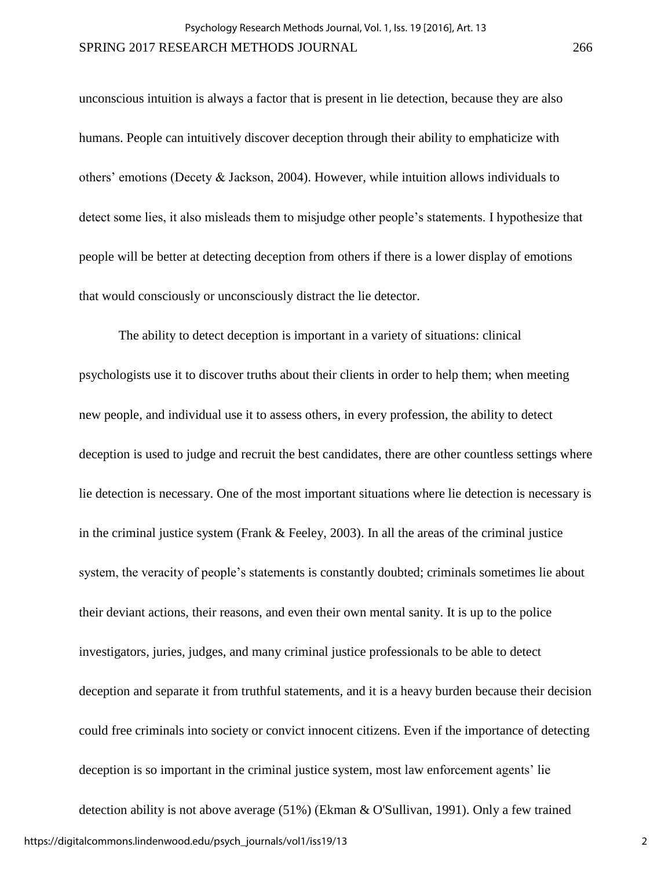unconscious intuition is always a factor that is present in lie detection, because they are also humans. People can intuitively discover deception through their ability to emphaticize with others' emotions (Decety & Jackson, 2004). However, while intuition allows individuals to detect some lies, it also misleads them to misjudge other people's statements. I hypothesize that people will be better at detecting deception from others if there is a lower display of emotions that would consciously or unconsciously distract the lie detector.

The ability to detect deception is important in a variety of situations: clinical psychologists use it to discover truths about their clients in order to help them; when meeting new people, and individual use it to assess others, in every profession, the ability to detect deception is used to judge and recruit the best candidates, there are other countless settings where lie detection is necessary. One of the most important situations where lie detection is necessary is in the criminal justice system (Frank  $\&$  Feeley, 2003). In all the areas of the criminal justice system, the veracity of people's statements is constantly doubted; criminals sometimes lie about their deviant actions, their reasons, and even their own mental sanity. It is up to the police investigators, juries, judges, and many criminal justice professionals to be able to detect deception and separate it from truthful statements, and it is a heavy burden because their decision could free criminals into society or convict innocent citizens. Even if the importance of detecting deception is so important in the criminal justice system, most law enforcement agents' lie detection ability is not above average (51%) (Ekman & O'Sullivan, 1991). Only a few trained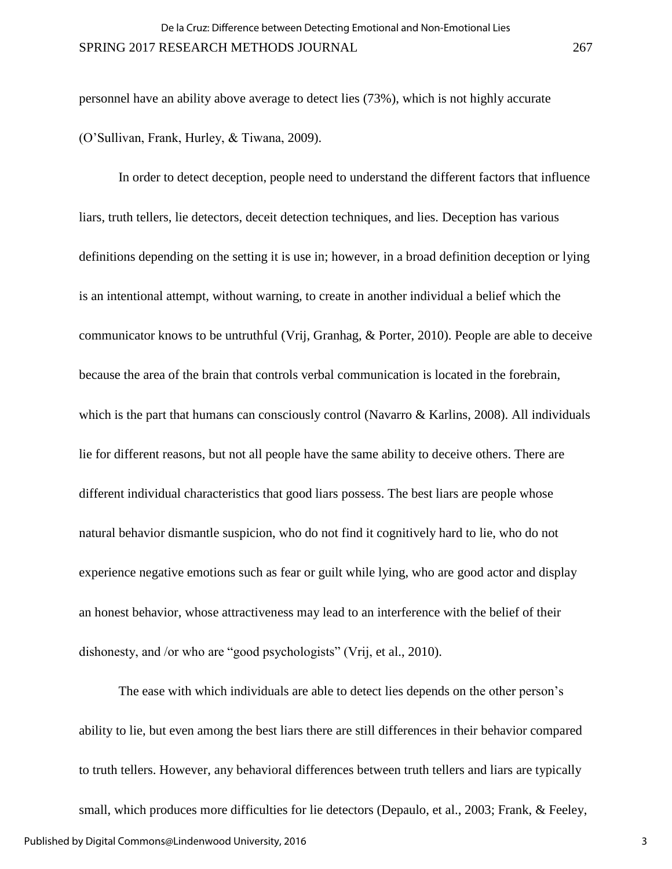personnel have an ability above average to detect lies (73%), which is not highly accurate (O'Sullivan, Frank, Hurley, & Tiwana, 2009).

In order to detect deception, people need to understand the different factors that influence liars, truth tellers, lie detectors, deceit detection techniques, and lies. Deception has various definitions depending on the setting it is use in; however, in a broad definition deception or lying is an intentional attempt, without warning, to create in another individual a belief which the communicator knows to be untruthful (Vrij, Granhag, & Porter, 2010). People are able to deceive because the area of the brain that controls verbal communication is located in the forebrain, which is the part that humans can consciously control (Navarro & Karlins, 2008). All individuals lie for different reasons, but not all people have the same ability to deceive others. There are different individual characteristics that good liars possess. The best liars are people whose natural behavior dismantle suspicion, who do not find it cognitively hard to lie, who do not experience negative emotions such as fear or guilt while lying, who are good actor and display an honest behavior, whose attractiveness may lead to an interference with the belief of their dishonesty, and /or who are "good psychologists" (Vrij, et al., 2010).

The ease with which individuals are able to detect lies depends on the other person's ability to lie, but even among the best liars there are still differences in their behavior compared to truth tellers. However, any behavioral differences between truth tellers and liars are typically small, which produces more difficulties for lie detectors (Depaulo, et al., 2003; Frank, & Feeley, Published by Digital Commons@Lindenwood University, 2016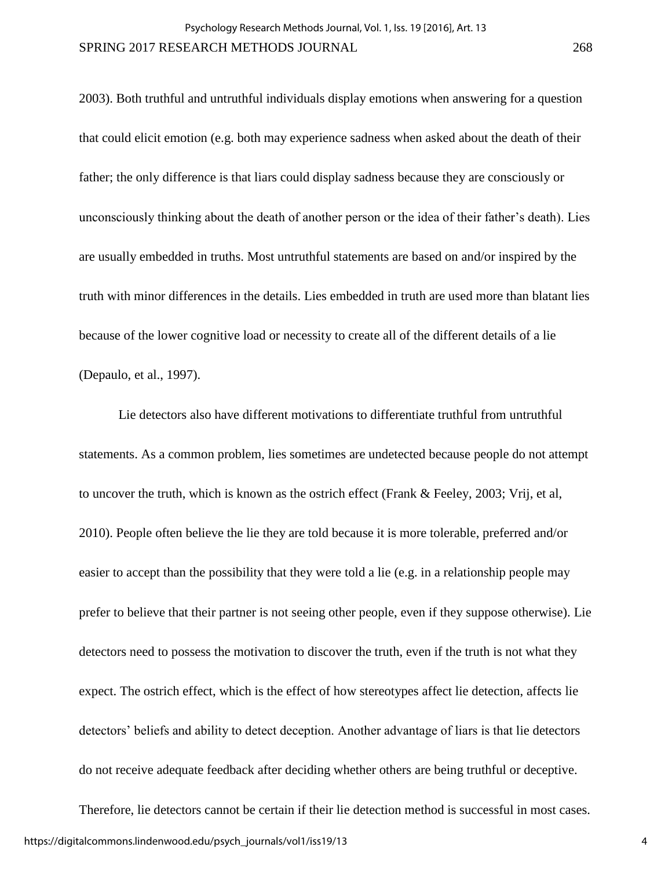2003). Both truthful and untruthful individuals display emotions when answering for a question that could elicit emotion (e.g. both may experience sadness when asked about the death of their father; the only difference is that liars could display sadness because they are consciously or unconsciously thinking about the death of another person or the idea of their father's death). Lies are usually embedded in truths. Most untruthful statements are based on and/or inspired by the truth with minor differences in the details. Lies embedded in truth are used more than blatant lies because of the lower cognitive load or necessity to create all of the different details of a lie (Depaulo, et al., 1997).

Lie detectors also have different motivations to differentiate truthful from untruthful statements. As a common problem, lies sometimes are undetected because people do not attempt to uncover the truth, which is known as the ostrich effect (Frank & Feeley, 2003; Vrij, et al, 2010). People often believe the lie they are told because it is more tolerable, preferred and/or easier to accept than the possibility that they were told a lie (e.g. in a relationship people may prefer to believe that their partner is not seeing other people, even if they suppose otherwise). Lie detectors need to possess the motivation to discover the truth, even if the truth is not what they expect. The ostrich effect, which is the effect of how stereotypes affect lie detection, affects lie detectors' beliefs and ability to detect deception. Another advantage of liars is that lie detectors do not receive adequate feedback after deciding whether others are being truthful or deceptive.

Therefore, lie detectors cannot be certain if their lie detection method is successful in most cases. https://digitalcommons.lindenwood.edu/psych\_journals/vol1/iss19/13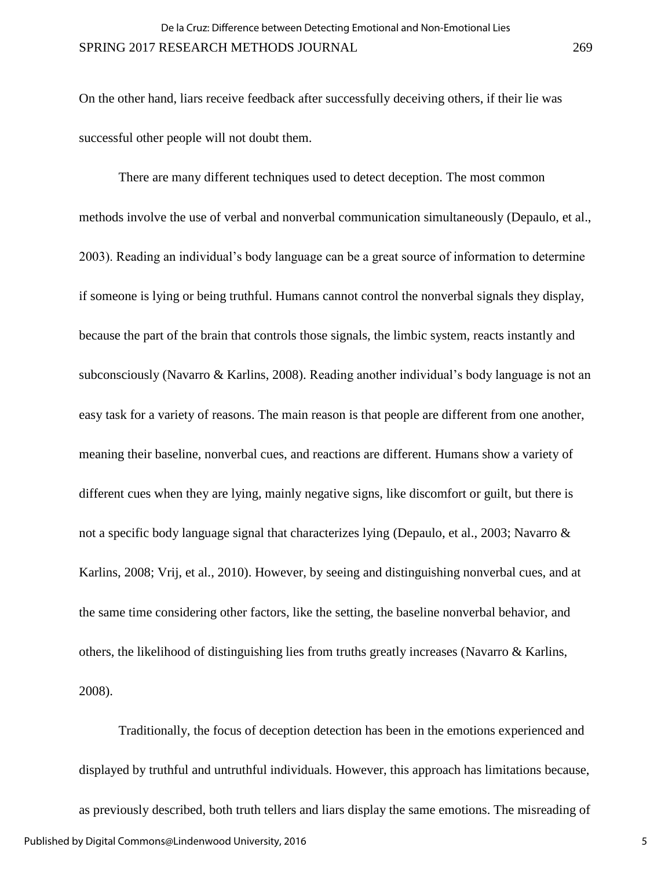On the other hand, liars receive feedback after successfully deceiving others, if their lie was successful other people will not doubt them.

There are many different techniques used to detect deception. The most common methods involve the use of verbal and nonverbal communication simultaneously (Depaulo, et al., 2003). Reading an individual's body language can be a great source of information to determine if someone is lying or being truthful. Humans cannot control the nonverbal signals they display, because the part of the brain that controls those signals, the limbic system, reacts instantly and subconsciously (Navarro & Karlins, 2008). Reading another individual's body language is not an easy task for a variety of reasons. The main reason is that people are different from one another, meaning their baseline, nonverbal cues, and reactions are different. Humans show a variety of different cues when they are lying, mainly negative signs, like discomfort or guilt, but there is not a specific body language signal that characterizes lying (Depaulo, et al., 2003; Navarro & Karlins, 2008; Vrij, et al., 2010). However, by seeing and distinguishing nonverbal cues, and at the same time considering other factors, like the setting, the baseline nonverbal behavior, and others, the likelihood of distinguishing lies from truths greatly increases (Navarro & Karlins, 2008).

Traditionally, the focus of deception detection has been in the emotions experienced and displayed by truthful and untruthful individuals. However, this approach has limitations because, as previously described, both truth tellers and liars display the same emotions. The misreading of Published by Digital Commons@Lindenwood University, 2016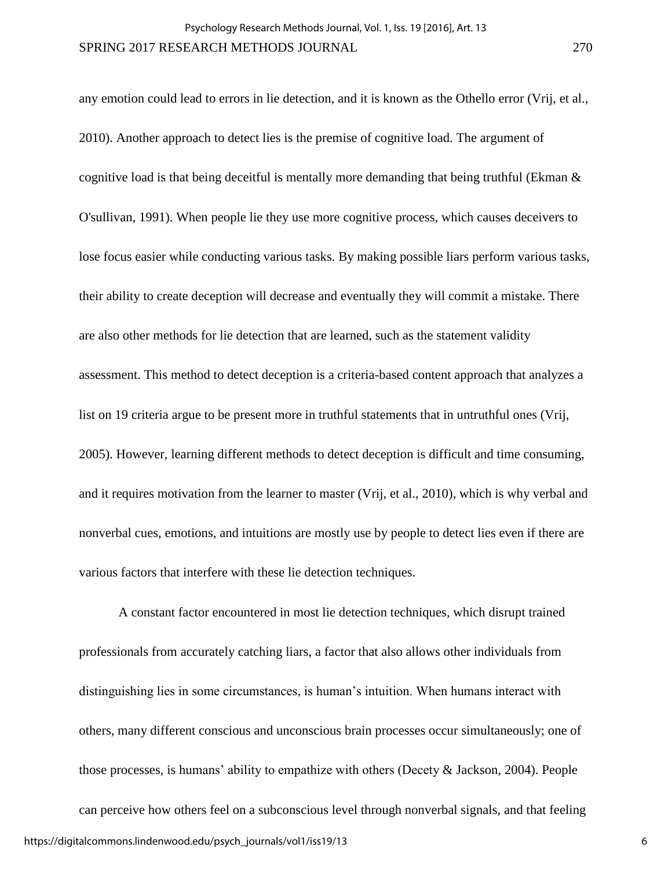any emotion could lead to errors in lie detection, and it is known as the Othello error (Vrij, et al., 2010). Another approach to detect lies is the premise of cognitive load. The argument of cognitive load is that being deceitful is mentally more demanding that being truthful (Ekman & O'sullivan, 1991). When people lie they use more cognitive process, which causes deceivers to lose focus easier while conducting various tasks. By making possible liars perform various tasks, their ability to create deception will decrease and eventually they will commit a mistake. There are also other methods for lie detection that are learned, such as the statement validity assessment. This method to detect deception is a criteria-based content approach that analyzes a list on 19 criteria argue to be present more in truthful statements that in untruthful ones (Vrij, 2005). However, learning different methods to detect deception is difficult and time consuming, and it requires motivation from the learner to master (Vrij, et al., 2010), which is why verbal and nonverbal cues, emotions, and intuitions are mostly use by people to detect lies even if there are various factors that interfere with these lie detection techniques.

A constant factor encountered in most lie detection techniques, which disrupt trained professionals from accurately catching liars, a factor that also allows other individuals from distinguishing lies in some circumstances, is human's intuition. When humans interact with others, many different conscious and unconscious brain processes occur simultaneously; one of those processes, is humans' ability to empathize with others (Decety & Jackson, 2004). People can perceive how others feel on a subconscious level through nonverbal signals, and that feeling https://digitalcommons.lindenwood.edu/psych\_journals/vol1/iss19/13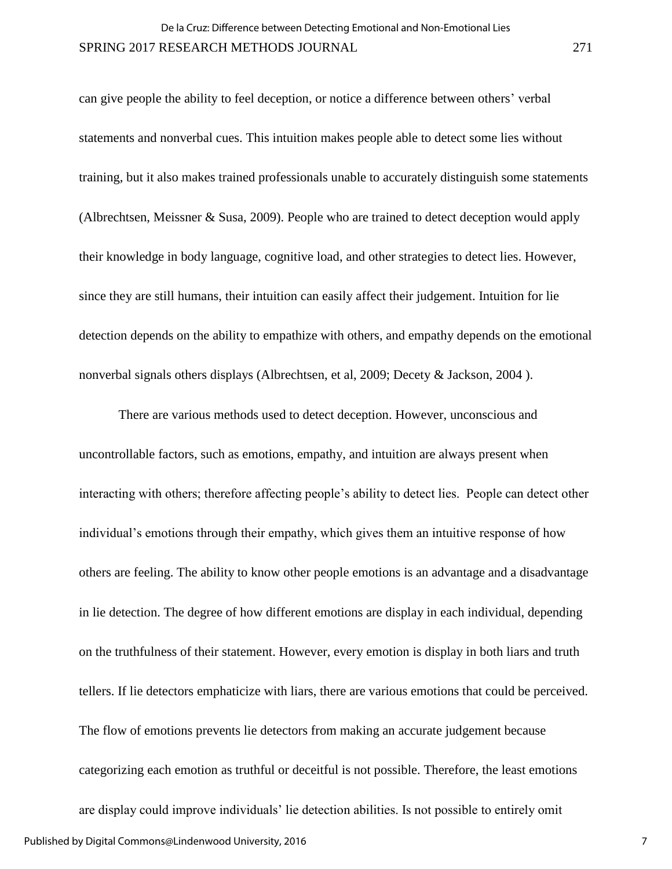can give people the ability to feel deception, or notice a difference between others' verbal statements and nonverbal cues. This intuition makes people able to detect some lies without training, but it also makes trained professionals unable to accurately distinguish some statements (Albrechtsen, Meissner & Susa, 2009). People who are trained to detect deception would apply their knowledge in body language, cognitive load, and other strategies to detect lies. However, since they are still humans, their intuition can easily affect their judgement. Intuition for lie detection depends on the ability to empathize with others, and empathy depends on the emotional nonverbal signals others displays (Albrechtsen, et al, 2009; Decety & Jackson, 2004 ).

There are various methods used to detect deception. However, unconscious and uncontrollable factors, such as emotions, empathy, and intuition are always present when interacting with others; therefore affecting people's ability to detect lies. People can detect other individual's emotions through their empathy, which gives them an intuitive response of how others are feeling. The ability to know other people emotions is an advantage and a disadvantage in lie detection. The degree of how different emotions are display in each individual, depending on the truthfulness of their statement. However, every emotion is display in both liars and truth tellers. If lie detectors emphaticize with liars, there are various emotions that could be perceived. The flow of emotions prevents lie detectors from making an accurate judgement because categorizing each emotion as truthful or deceitful is not possible. Therefore, the least emotions are display could improve individuals' lie detection abilities. Is not possible to entirely omit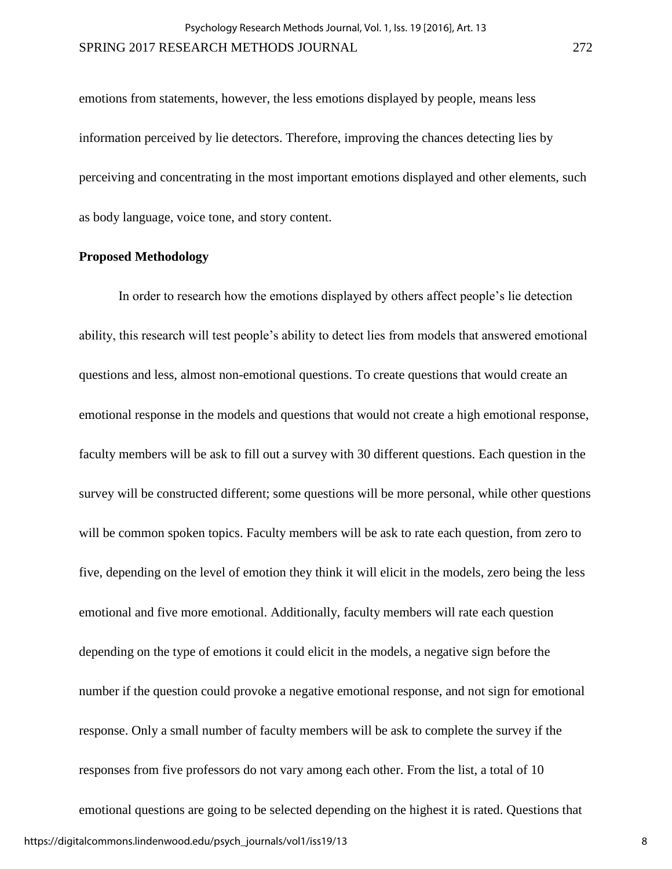emotions from statements, however, the less emotions displayed by people, means less information perceived by lie detectors. Therefore, improving the chances detecting lies by perceiving and concentrating in the most important emotions displayed and other elements, such as body language, voice tone, and story content.

#### **Proposed Methodology**

In order to research how the emotions displayed by others affect people's lie detection ability, this research will test people's ability to detect lies from models that answered emotional questions and less, almost non-emotional questions. To create questions that would create an emotional response in the models and questions that would not create a high emotional response, faculty members will be ask to fill out a survey with 30 different questions. Each question in the survey will be constructed different; some questions will be more personal, while other questions will be common spoken topics. Faculty members will be ask to rate each question, from zero to five, depending on the level of emotion they think it will elicit in the models, zero being the less emotional and five more emotional. Additionally, faculty members will rate each question depending on the type of emotions it could elicit in the models, a negative sign before the number if the question could provoke a negative emotional response, and not sign for emotional response. Only a small number of faculty members will be ask to complete the survey if the responses from five professors do not vary among each other. From the list, a total of 10 emotional questions are going to be selected depending on the highest it is rated. Questions that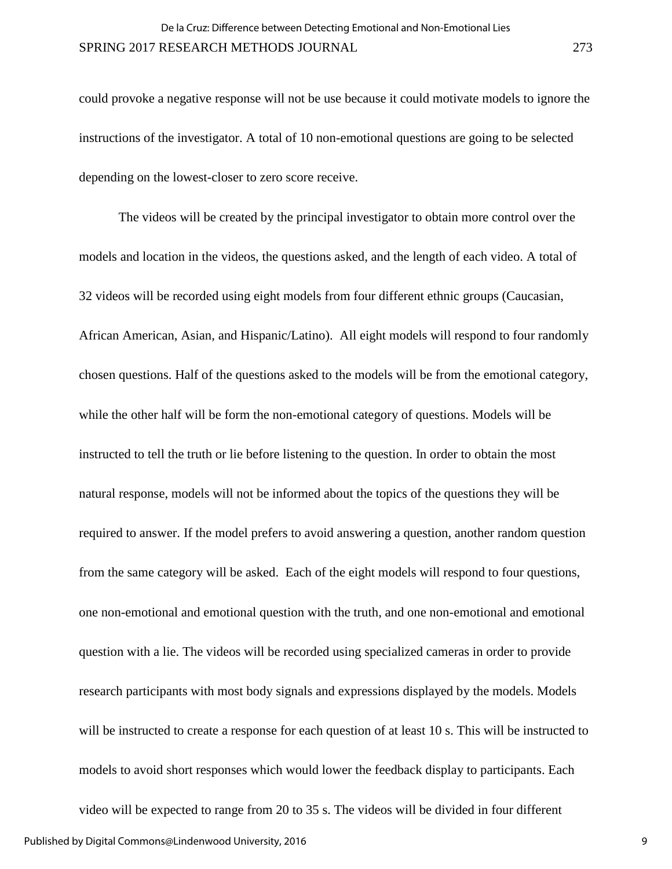could provoke a negative response will not be use because it could motivate models to ignore the instructions of the investigator. A total of 10 non-emotional questions are going to be selected depending on the lowest-closer to zero score receive.

The videos will be created by the principal investigator to obtain more control over the models and location in the videos, the questions asked, and the length of each video. A total of 32 videos will be recorded using eight models from four different ethnic groups (Caucasian, African American, Asian, and Hispanic/Latino). All eight models will respond to four randomly chosen questions. Half of the questions asked to the models will be from the emotional category, while the other half will be form the non-emotional category of questions. Models will be instructed to tell the truth or lie before listening to the question. In order to obtain the most natural response, models will not be informed about the topics of the questions they will be required to answer. If the model prefers to avoid answering a question, another random question from the same category will be asked. Each of the eight models will respond to four questions, one non-emotional and emotional question with the truth, and one non-emotional and emotional question with a lie. The videos will be recorded using specialized cameras in order to provide research participants with most body signals and expressions displayed by the models. Models will be instructed to create a response for each question of at least 10 s. This will be instructed to models to avoid short responses which would lower the feedback display to participants. Each video will be expected to range from 20 to 35 s. The videos will be divided in four different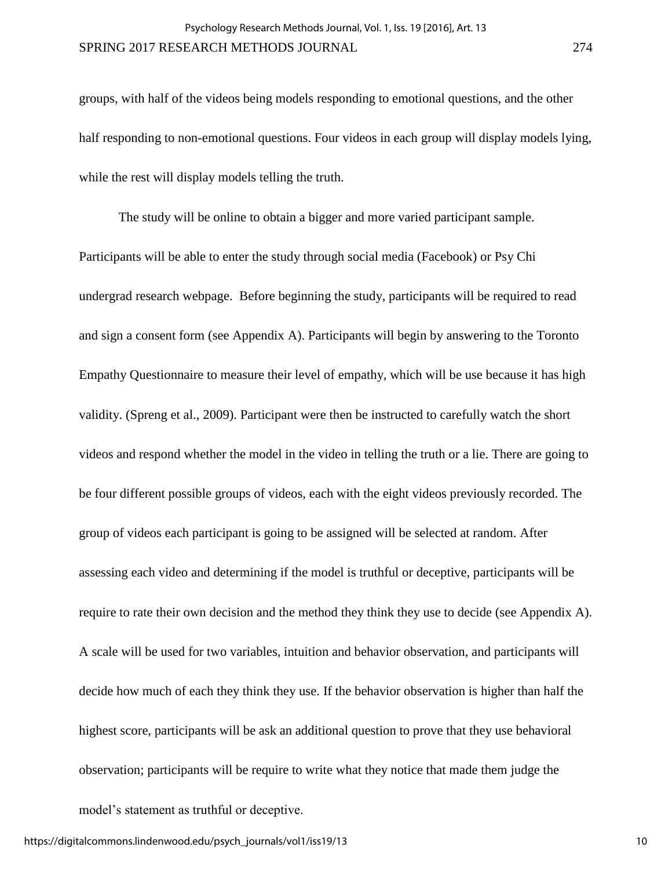groups, with half of the videos being models responding to emotional questions, and the other half responding to non-emotional questions. Four videos in each group will display models lying, while the rest will display models telling the truth.

The study will be online to obtain a bigger and more varied participant sample. Participants will be able to enter the study through social media (Facebook) or Psy Chi undergrad research webpage. Before beginning the study, participants will be required to read and sign a consent form (see Appendix A). Participants will begin by answering to the Toronto Empathy Questionnaire to measure their level of empathy, which will be use because it has high validity. (Spreng et al., 2009). Participant were then be instructed to carefully watch the short videos and respond whether the model in the video in telling the truth or a lie. There are going to be four different possible groups of videos, each with the eight videos previously recorded. The group of videos each participant is going to be assigned will be selected at random. After assessing each video and determining if the model is truthful or deceptive, participants will be require to rate their own decision and the method they think they use to decide (see Appendix A). A scale will be used for two variables, intuition and behavior observation, and participants will decide how much of each they think they use. If the behavior observation is higher than half the highest score, participants will be ask an additional question to prove that they use behavioral observation; participants will be require to write what they notice that made them judge the model's statement as truthful or deceptive.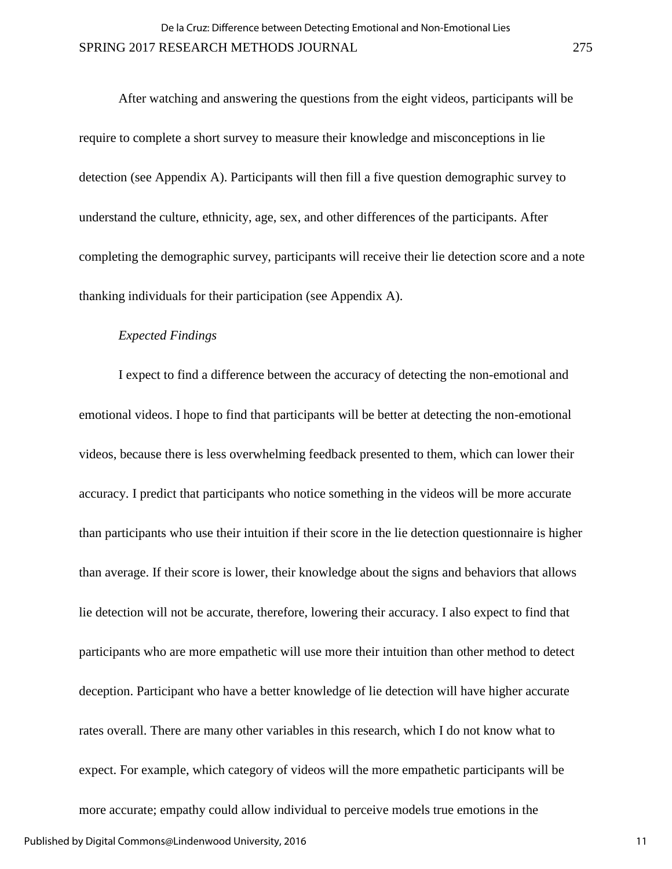After watching and answering the questions from the eight videos, participants will be require to complete a short survey to measure their knowledge and misconceptions in lie detection (see Appendix A). Participants will then fill a five question demographic survey to understand the culture, ethnicity, age, sex, and other differences of the participants. After completing the demographic survey, participants will receive their lie detection score and a note thanking individuals for their participation (see Appendix A).

#### *Expected Findings*

I expect to find a difference between the accuracy of detecting the non-emotional and emotional videos. I hope to find that participants will be better at detecting the non-emotional videos, because there is less overwhelming feedback presented to them, which can lower their accuracy. I predict that participants who notice something in the videos will be more accurate than participants who use their intuition if their score in the lie detection questionnaire is higher than average. If their score is lower, their knowledge about the signs and behaviors that allows lie detection will not be accurate, therefore, lowering their accuracy. I also expect to find that participants who are more empathetic will use more their intuition than other method to detect deception. Participant who have a better knowledge of lie detection will have higher accurate rates overall. There are many other variables in this research, which I do not know what to expect. For example, which category of videos will the more empathetic participants will be more accurate; empathy could allow individual to perceive models true emotions in the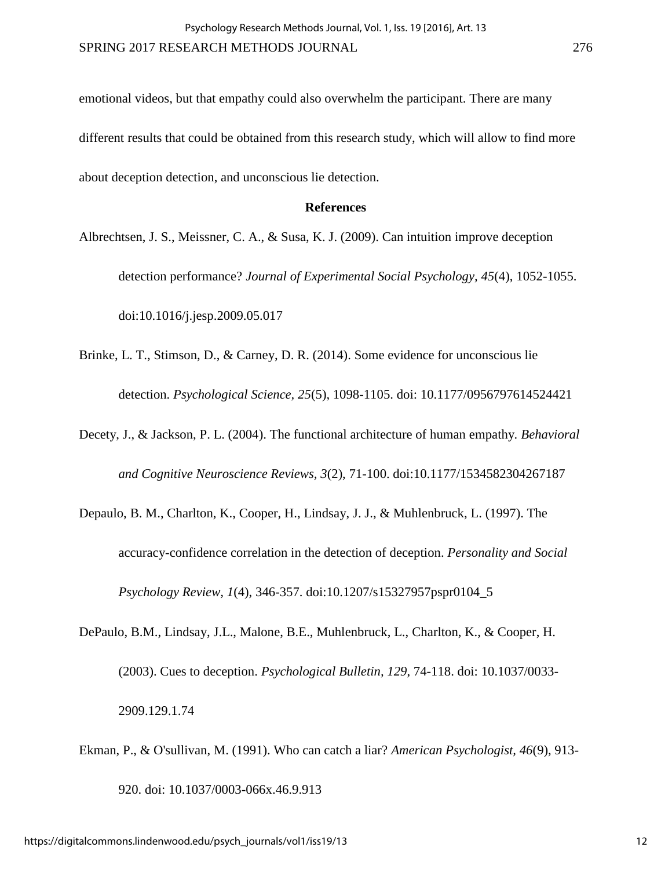emotional videos, but that empathy could also overwhelm the participant. There are many different results that could be obtained from this research study, which will allow to find more about deception detection, and unconscious lie detection.

#### **References**

- Albrechtsen, J. S., Meissner, C. A., & Susa, K. J. (2009). Can intuition improve deception detection performance? *Journal of Experimental Social Psychology, 45*(4), 1052-1055. doi:10.1016/j.jesp.2009.05.017
- Brinke, L. T., Stimson, D., & Carney, D. R. (2014). Some evidence for unconscious lie detection. *Psychological Science, 25*(5), 1098-1105. doi: 10.1177/0956797614524421
- Decety, J., & Jackson, P. L. (2004). The functional architecture of human empathy*. Behavioral and Cognitive Neuroscience Reviews, 3*(2), 71-100. doi:10.1177/1534582304267187
- Depaulo, B. M., Charlton, K., Cooper, H., Lindsay, J. J., & Muhlenbruck, L. (1997). The accuracy-confidence correlation in the detection of deception. *Personality and Social Psychology Review, 1*(4), 346-357. doi:10.1207/s15327957pspr0104\_5
- DePaulo, B.M., Lindsay, J.L., Malone, B.E., Muhlenbruck, L., Charlton, K., & Cooper, H. (2003). Cues to deception. *Psychological Bulletin, 129*, 74-118. doi: 10.1037/0033- 2909.129.1.74
- Ekman, P., & O'sullivan, M. (1991). Who can catch a liar? *American Psychologist, 46*(9), 913- 920. doi: 10.1037/0003-066x.46.9.913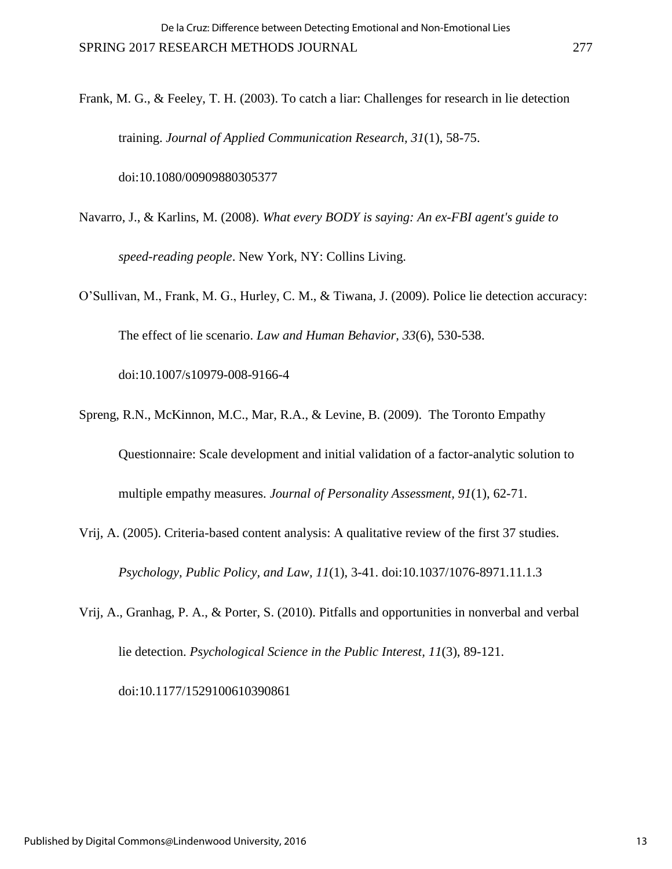Frank, M. G., & Feeley, T. H. (2003). To catch a liar: Challenges for research in lie detection training. *Journal of Applied Communication Research, 31*(1), 58-75.

doi:10.1080/00909880305377

- Navarro, J., & Karlins, M. (2008). *What every BODY is saying: An ex-FBI agent's guide to speed-reading people*. New York, NY: Collins Living.
- O'Sullivan, M., Frank, M. G., Hurley, C. M., & Tiwana, J. (2009). Police lie detection accuracy: The effect of lie scenario. *Law and Human Behavior, 33*(6), 530-538. doi:10.1007/s10979-008-9166-4
- Spreng, R.N., McKinnon, M.C., Mar, R.A., & Levine, B. (2009). The Toronto Empathy Questionnaire: Scale development and initial validation of a factor-analytic solution to multiple empathy measures. *Journal of Personality Assessment, 91*(1), 62-71.
- Vrij, A. (2005). Criteria-based content analysis: A qualitative review of the first 37 studies. *Psychology, Public Policy, and Law, 11*(1), 3-41. doi:10.1037/1076-8971.11.1.3
- Vrij, A., Granhag, P. A., & Porter, S. (2010). Pitfalls and opportunities in nonverbal and verbal lie detection. *Psychological Science in the Public Interest, 11*(3), 89-121.

doi:10.1177/1529100610390861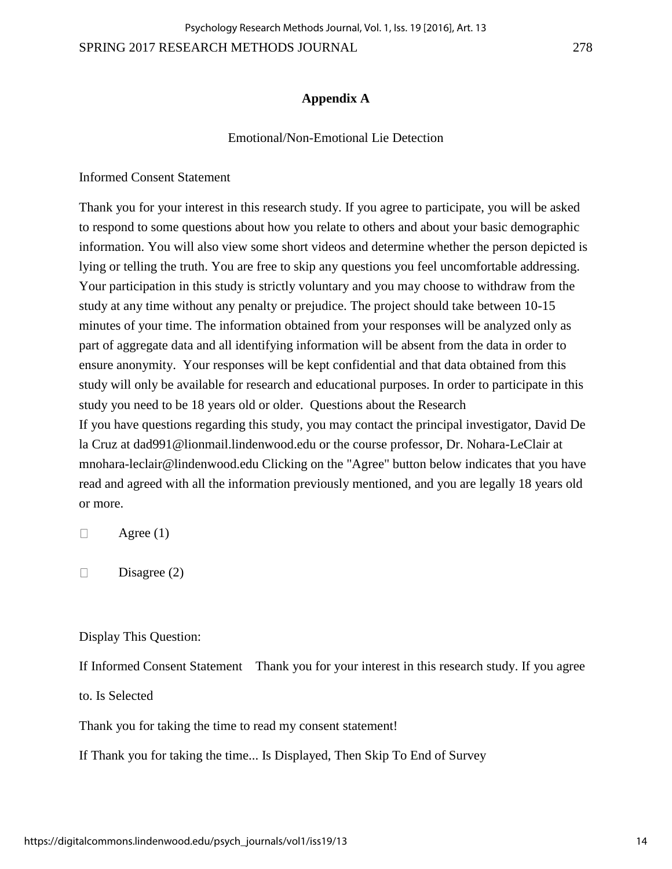SPRING 2017 RESEARCH METHODS JOURNAL 278 Psychology Research Methods Journal, Vol. 1, Iss. 19 [2016], Art. 13

### **Appendix A**

#### Emotional/Non-Emotional Lie Detection

Informed Consent Statement

Thank you for your interest in this research study. If you agree to participate, you will be asked to respond to some questions about how you relate to others and about your basic demographic information. You will also view some short videos and determine whether the person depicted is lying or telling the truth. You are free to skip any questions you feel uncomfortable addressing. Your participation in this study is strictly voluntary and you may choose to withdraw from the study at any time without any penalty or prejudice. The project should take between 10-15 minutes of your time. The information obtained from your responses will be analyzed only as part of aggregate data and all identifying information will be absent from the data in order to ensure anonymity. Your responses will be kept confidential and that data obtained from this study will only be available for research and educational purposes. In order to participate in this study you need to be 18 years old or older. Questions about the Research If you have questions regarding this study, you may contact the principal investigator, David De la Cruz at dad991@lionmail.lindenwood.edu or the course professor, Dr. Nohara-LeClair at mnohara-leclair@lindenwood.edu Clicking on the "Agree" button below indicates that you have read and agreed with all the information previously mentioned, and you are legally 18 years old or more.

 $\Box$ Agree (1)

 $\Box$ Disagree (2)

Display This Question:

If Informed Consent Statement Thank you for your interest in this research study. If you agree

to. Is Selected

Thank you for taking the time to read my consent statement!

If Thank you for taking the time... Is Displayed, Then Skip To End of Survey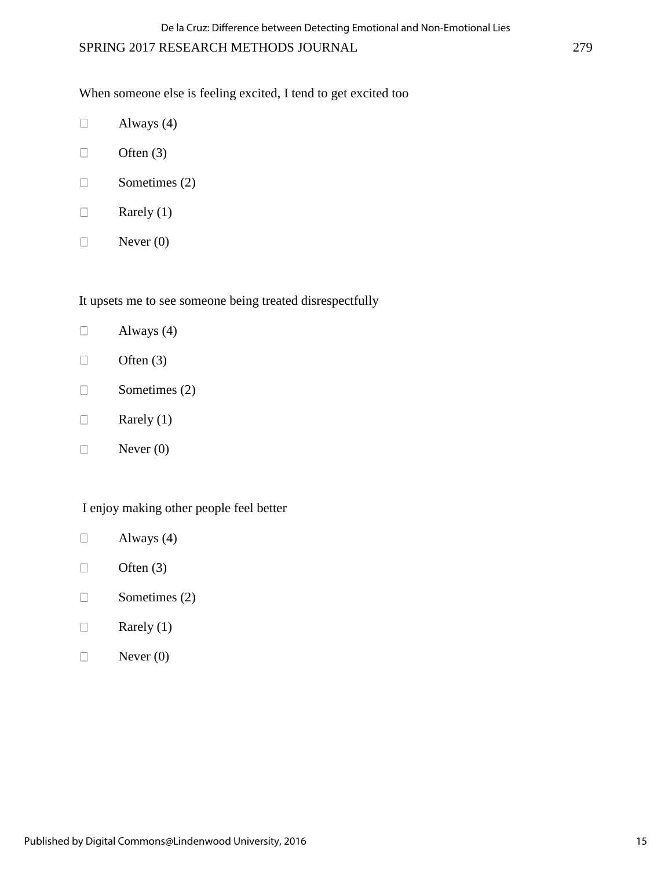When someone else is feeling excited, I tend to get excited too

- $\Box$ Always (4)
- Often (3)  $\Box$
- Sometimes (2)  $\Box$
- $\Box$ Rarely (1)
- Never (0)  $\Box$

It upsets me to see someone being treated disrespectfully

- $\Box$ Always (4)
- Often  $(3)$  $\Box$
- Sometimes (2)  $\Box$
- Rarely (1)  $\Box$
- Never (0)  $\Box$

### I enjoy making other people feel better

- Always (4)  $\Box$
- $\Box$ Often  $(3)$
- $\Box$ Sometimes (2)
- Rarely (1)  $\Box$
- Never (0)  $\Box$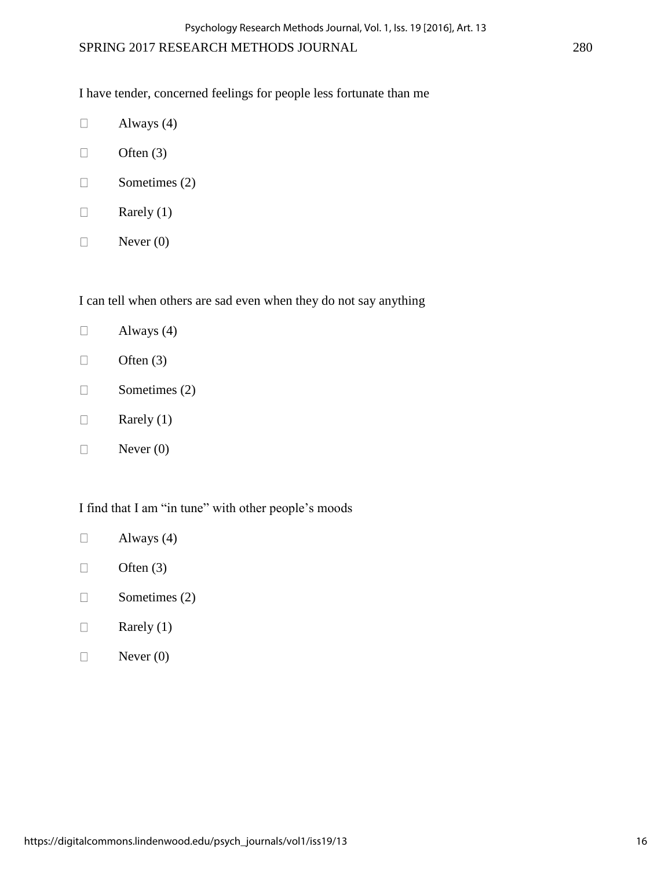I have tender, concerned feelings for people less fortunate than me

- $\Box$ Always (4)
- Often  $(3)$  $\Box$
- Sometimes (2)  $\Box$
- $\Box$ Rarely (1)
- Never (0)  $\Box$

I can tell when others are sad even when they do not say anything

- $\Box$ Always (4)
- Often (3)  $\Box$
- Sometimes (2)  $\Box$
- Rarely (1)  $\Box$
- Never (0)  $\Box$

I find that I am "in tune" with other people's moods

- Always (4)  $\Box$
- $\Box$ Often  $(3)$
- $\Box$ Sometimes (2)
- Rarely (1)  $\Box$
- Never (0)  $\Box$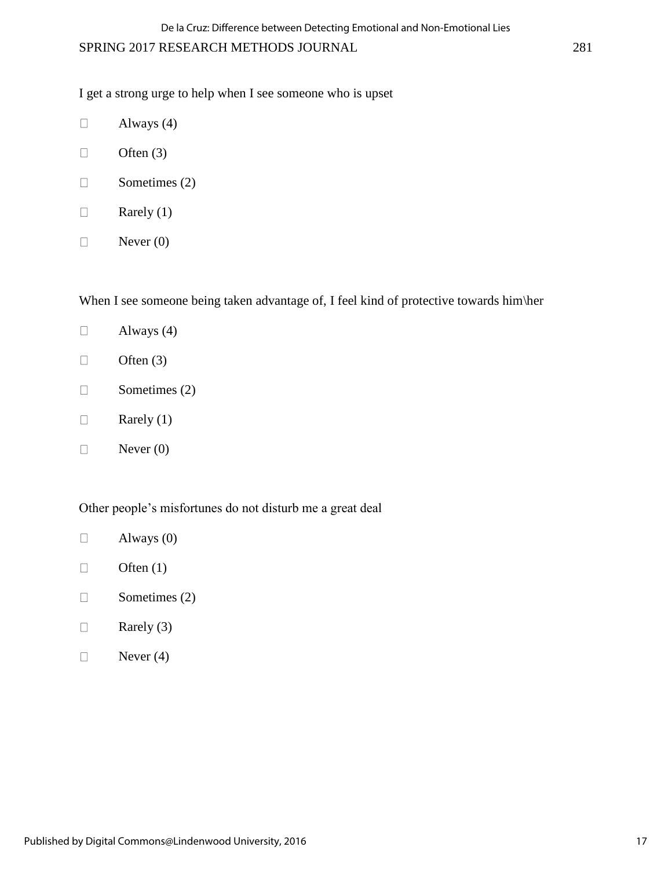I get a strong urge to help when I see someone who is upset

- $\Box$ Always (4)
- $\Box$ Often  $(3)$
- Sometimes (2)  $\Box$
- $\Box$ Rarely (1)
- $\Box$ Never (0)

When I see someone being taken advantage of, I feel kind of protective towards him\her

- $\Box$ Always (4)
- Often (3)  $\Box$
- Sometimes (2)  $\Box$
- Rarely (1)  $\Box$
- Never (0)  $\Box$

### Other people's misfortunes do not disturb me a great deal

- Always (0)  $\Box$
- $\Box$ Often  $(1)$
- $\Box$ Sometimes (2)
- Rarely (3)  $\Box$
- Never (4)  $\Box$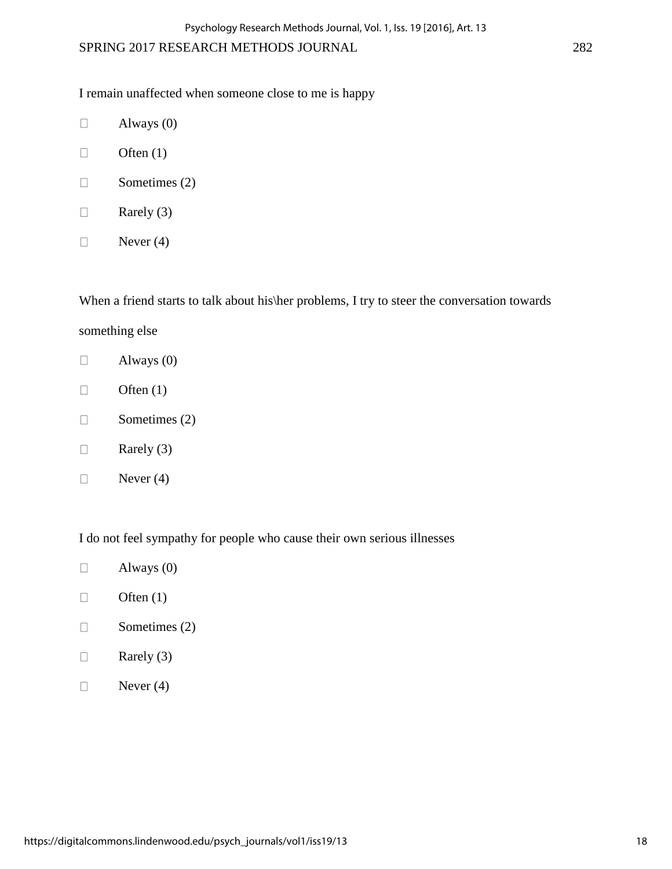I remain unaffected when someone close to me is happy

- $\Box$ Always (0)
- $\Box$ Often  $(1)$
- Sometimes (2)  $\Box$
- $\Box$ Rarely (3)
- $\Box$ Never (4)

When a friend starts to talk about his\her problems, I try to steer the conversation towards something else

- Always (0)  $\Box$
- Often  $(1)$  $\Box$
- $\Box$ Sometimes (2)
- Rarely (3)  $\Box$
- $\Box$ Never (4)

I do not feel sympathy for people who cause their own serious illnesses

- Always (0)  $\Box$
- $\Box$ Often  $(1)$
- Sometimes (2)  $\Box$
- $\Box$ Rarely (3)
- Never (4)  $\Box$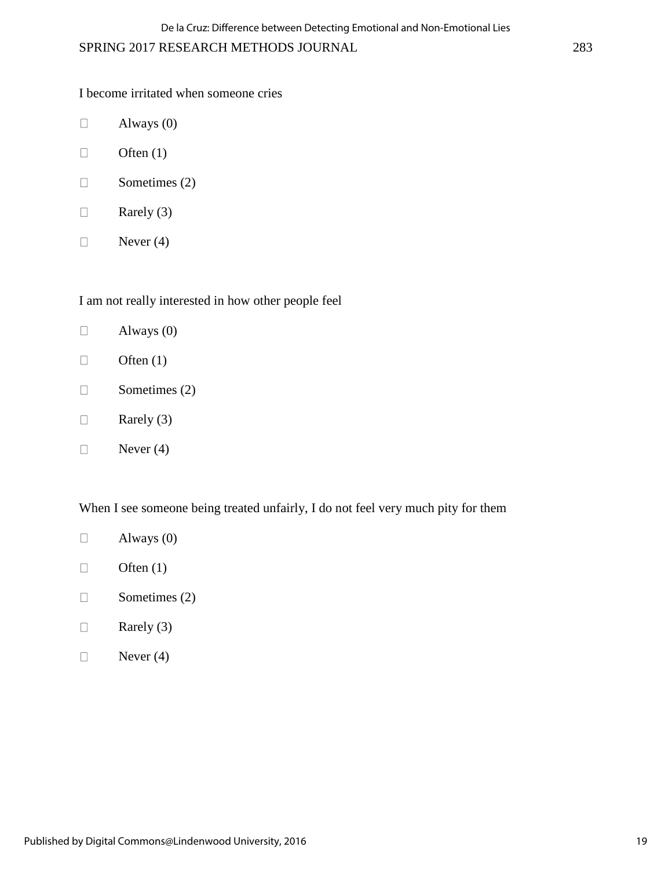I become irritated when someone cries

- Always (0)  $\Box$
- $\Box$ Often  $(1)$
- Sometimes (2)  $\Box$
- $\Box$ Rarely (3)
- $\Box$ Never (4)

I am not really interested in how other people feel

- $\Box$ Always (0)
- Often  $(1)$  $\Box$
- Sometimes (2)  $\Box$
- Rarely (3)  $\Box$
- Never (4)  $\Box$

When I see someone being treated unfairly, I do not feel very much pity for them

- Always (0)  $\Box$
- $\Box$ Often  $(1)$
- $\Box$ Sometimes (2)
- Rarely (3)  $\Box$
- Never (4)  $\Box$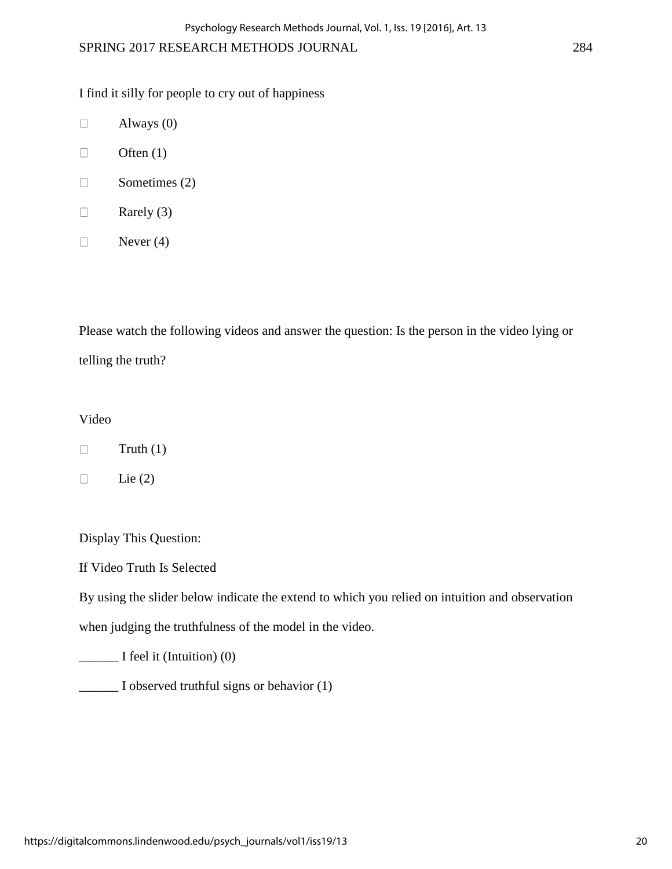I find it silly for people to cry out of happiness

- $\Box$ Always (0)
- Often  $(1)$  $\Box$
- $\Box$ Sometimes (2)
- Rarely (3)  $\Box$
- $\Box$ Never (4)

Please watch the following videos and answer the question: Is the person in the video lying or telling the truth?

## Video

- $\Box$ Truth (1)
- $\Box$ Lie  $(2)$

Display This Question:

If Video Truth Is Selected

By using the slider below indicate the extend to which you relied on intuition and observation

when judging the truthfulness of the model in the video.

\_\_\_\_\_\_ I feel it (Intuition) (0)

\_\_\_\_\_\_ I observed truthful signs or behavior (1)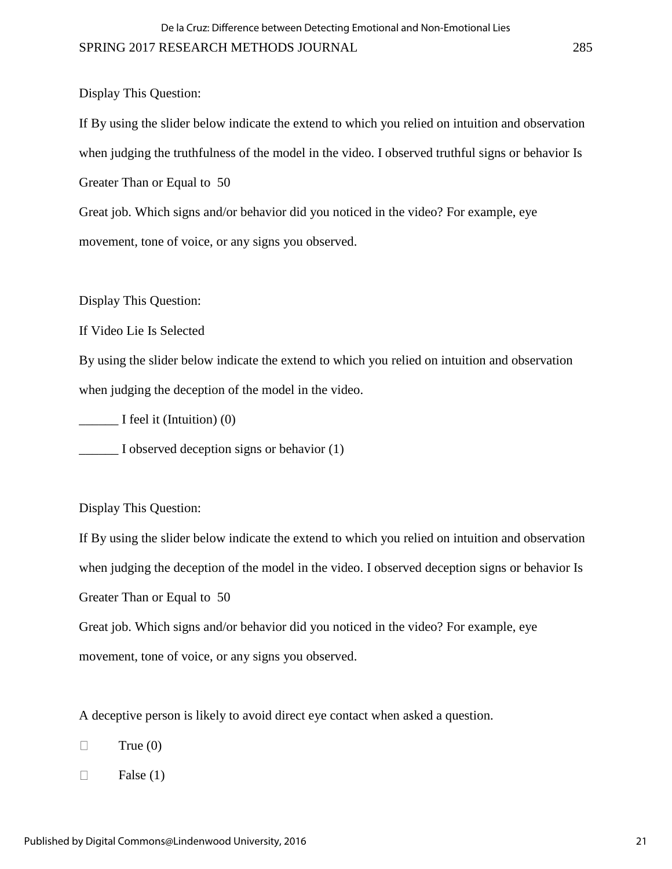Display This Question:

If By using the slider below indicate the extend to which you relied on intuition and observation when judging the truthfulness of the model in the video. I observed truthful signs or behavior Is Greater Than or Equal to 50

Great job. Which signs and/or behavior did you noticed in the video? For example, eye movement, tone of voice, or any signs you observed.

Display This Question:

If Video Lie Is Selected

By using the slider below indicate the extend to which you relied on intuition and observation when judging the deception of the model in the video.

 $\frac{1}{\sqrt{1-\frac{1}{\sqrt{1-\frac{1}{\sqrt{1-\frac{1}{\sqrt{1-\frac{1}{\sqrt{1-\frac{1}{\sqrt{1-\frac{1}{\sqrt{1-\frac{1}{\sqrt{1-\frac{1}{\sqrt{1-\frac{1}{\sqrt{1-\frac{1}{\sqrt{1-\frac{1}{\sqrt{1-\frac{1}{\sqrt{1-\frac{1}{\sqrt{1-\frac{1}{\sqrt{1-\frac{1}{\sqrt{1-\frac{1}{\sqrt{1-\frac{1}{\sqrt{1-\frac{1}{\sqrt{1-\frac{1}{\sqrt{1-\frac{1}{\sqrt{1-\frac{1}{\sqrt{1-\frac{1}{\sqrt{1-\frac{1}{\sqrt{1-\frac{1$ 

\_\_\_\_\_\_ I observed deception signs or behavior (1)

Display This Question:

If By using the slider below indicate the extend to which you relied on intuition and observation when judging the deception of the model in the video. I observed deception signs or behavior Is Greater Than or Equal to 50

Great job. Which signs and/or behavior did you noticed in the video? For example, eye movement, tone of voice, or any signs you observed.

A deceptive person is likely to avoid direct eye contact when asked a question.

- $\Box$ True  $(0)$
- $\Box$ False (1)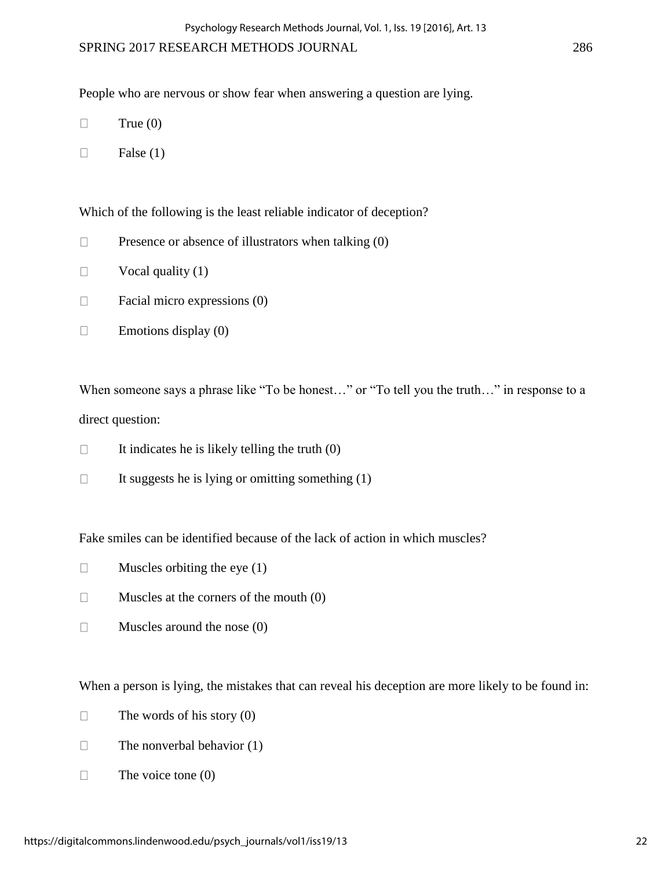People who are nervous or show fear when answering a question are lying.

- $\Box$ True  $(0)$
- $\Box$ False (1)

Which of the following is the least reliable indicator of deception?

- $\Box$ Presence or absence of illustrators when talking (0)
- $\Box$ Vocal quality (1)
- $\Box$ Facial micro expressions (0)
- $\Box$ Emotions display (0)

When someone says a phrase like "To be honest..." or "To tell you the truth..." in response to a direct question:

- $\Box$ It indicates he is likely telling the truth (0)
- $\Box$ It suggests he is lying or omitting something (1)

Fake smiles can be identified because of the lack of action in which muscles?

- $\Box$ Muscles orbiting the eye (1)
- Muscles at the corners of the mouth (0)  $\Box$
- $\Box$ Muscles around the nose (0)

When a person is lying, the mistakes that can reveal his deception are more likely to be found in:

- The words of his story (0)  $\Box$
- $\Box$ The nonverbal behavior (1)
- $\Box$ The voice tone (0)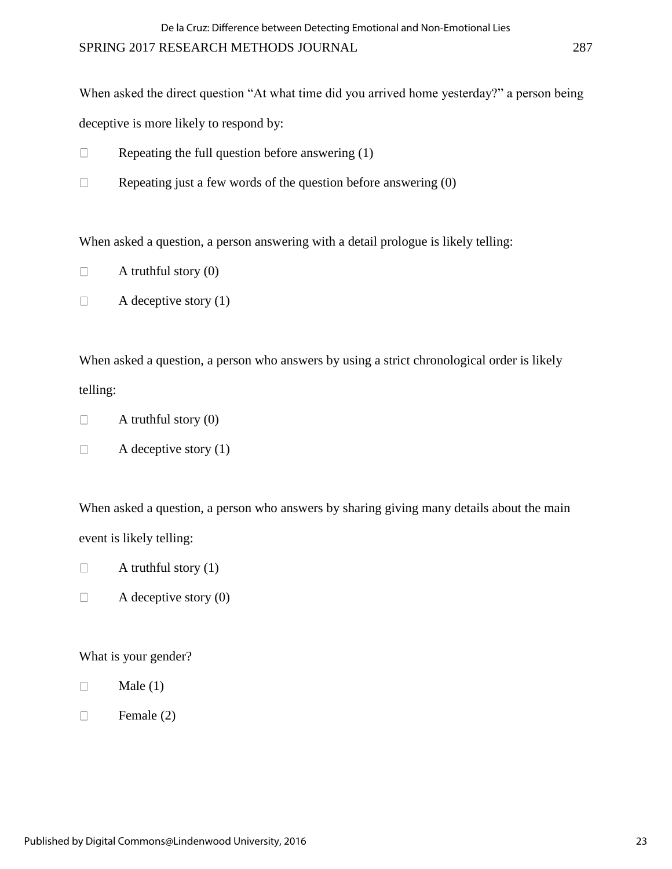When asked the direct question "At what time did you arrived home yesterday?" a person being deceptive is more likely to respond by:

- Repeating the full question before answering (1)  $\Box$
- $\Box$ Repeating just a few words of the question before answering (0)

When asked a question, a person answering with a detail prologue is likely telling:

- $\Box$ A truthful story (0)
- $\Box$ A deceptive story (1)

When asked a question, a person who answers by using a strict chronological order is likely telling:

- $\Box$ A truthful story (0)
- $\Box$ A deceptive story (1)

When asked a question, a person who answers by sharing giving many details about the main event is likely telling:

- $\Box$ A truthful story  $(1)$
- $\Box$ A deceptive story (0)

## What is your gender?

- $\Box$ Male (1)
- Female (2)  $\Box$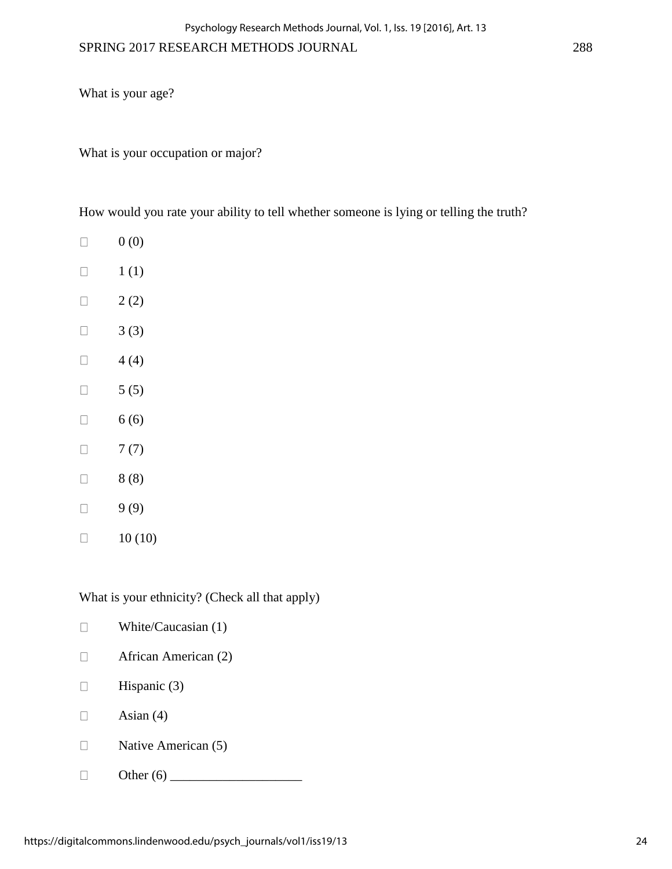What is your age?

What is your occupation or major?

How would you rate your ability to tell whether someone is lying or telling the truth?

- $0(0)$  $\Box$
- 1 (1)  $\Box$
- $\Box$ 2 (2)
- 3 (3)  $\Box$
- 4 (4)  $\Box$
- 5 (5)  $\Box$
- 6 (6)  $\Box$
- $\Box$ 7 (7)
- 8 (8)  $\Box$
- 9 (9)  $\Box$
- $\Box$ 10 (10)

What is your ethnicity? (Check all that apply)

| White/Caucasian (1)  |
|----------------------|
| African American (2) |
| Hispanic $(3)$       |
| Asian $(4)$          |
| Native American (5)  |
| Other $(6)$          |